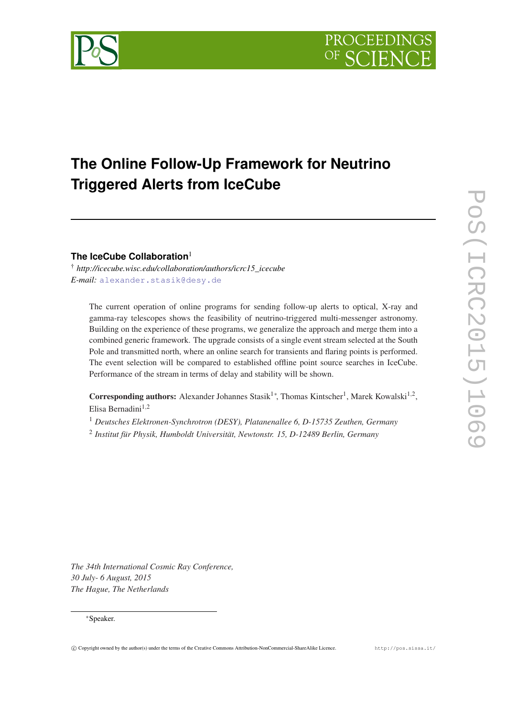

# **The Online Follow-Up Framework for Neutrino Triggered Alerts from IceCube**

**The IceCube Collaboration**<sup>1</sup>

† *http://icecube.wisc.edu/collaboration/authors/icrc15\_icecube E-mail:* [alexander.stasik@desy.de](mailto:alexander.stasik@desy.de)

The current operation of online programs for sending follow-up alerts to optical, X-ray and gamma-ray telescopes shows the feasibility of neutrino-triggered multi-messenger astronomy. Building on the experience of these programs, we generalize the approach and merge them into a combined generic framework. The upgrade consists of a single event stream selected at the South Pole and transmitted north, where an online search for transients and flaring points is performed. The event selection will be compared to established offline point source searches in IceCube. Performance of the stream in terms of delay and stability will be shown.

Corresponding authors: Alexander Johannes Stasik<sup>1</sup>\*, Thomas Kintscher<sup>1</sup>, Marek Kowalski<sup>1,2</sup>, Elisa Bernadini $1,2$ 

<sup>1</sup> *Deutsches Elektronen-Synchrotron (DESY), Platanenallee 6, D-15735 Zeuthen, Germany*

2 *Institut für Physik, Humboldt Universität, Newtonstr. 15, D-12489 Berlin, Germany*

*The 34th International Cosmic Ray Conference, 30 July- 6 August, 2015 The Hague, The Netherlands*

# <sup>∗</sup>Speaker.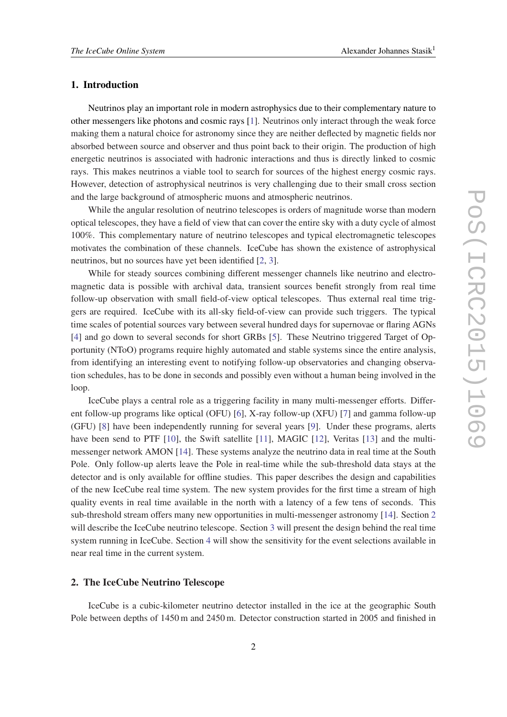#### <span id="page-1-0"></span>1. Introduction

Neutrinos play an important role in modern astrophysics due to their complementary nature to other messengers like photons and cosmic rays [\[1\]](#page-5-0). Neutrinos only interact through the weak force making them a natural choice for astronomy since they are neither deflected by magnetic fields nor absorbed between source and observer and thus point back to their origin. The production of high energetic neutrinos is associated with hadronic interactions and thus is directly linked to cosmic rays. This makes neutrinos a viable tool to search for sources of the highest energy cosmic rays. However, detection of astrophysical neutrinos is very challenging due to their small cross section and the large background of atmospheric muons and atmospheric neutrinos.

While the angular resolution of neutrino telescopes is orders of magnitude worse than modern optical telescopes, they have a field of view that can cover the entire sky with a duty cycle of almost 100%. This complementary nature of neutrino telescopes and typical electromagnetic telescopes motivates the combination of these channels. IceCube has shown the existence of astrophysical neutrinos, but no sources have yet been identified [[2](#page-5-0), [3](#page-5-0)].

While for steady sources combining different messenger channels like neutrino and electromagnetic data is possible with archival data, transient sources benefit strongly from real time follow-up observation with small field-of-view optical telescopes. Thus external real time triggers are required. IceCube with its all-sky field-of-view can provide such triggers. The typical time scales of potential sources vary between several hundred days for supernovae or flaring AGNs [[4](#page-5-0)] and go down to several seconds for short GRBs [[5](#page-5-0)]. These Neutrino triggered Target of Opportunity (NToO) programs require highly automated and stable systems since the entire analysis, from identifying an interesting event to notifying follow-up observatories and changing observation schedules, has to be done in seconds and possibly even without a human being involved in the loop.

IceCube plays a central role as a triggering facility in many multi-messenger efforts. Different follow-up programs like optical (OFU) [[6](#page-5-0)], X-ray follow-up (XFU) [\[7](#page-5-0)] and gamma follow-up (GFU) [[8](#page-5-0)] have been independently running for several years [\[9\]](#page-5-0). Under these programs, alerts have been send to PTF [[10\]](#page-5-0), the Swift satellite [\[11](#page-5-0)], MAGIC [[12](#page-5-0)], Veritas [\[13](#page-5-0)] and the multimessenger network AMON [[14\]](#page-5-0). These systems analyze the neutrino data in real time at the South Pole. Only follow-up alerts leave the Pole in real-time while the sub-threshold data stays at the detector and is only available for offline studies. This paper describes the design and capabilities of the new IceCube real time system. The new system provides for the first time a stream of high quality events in real time available in the north with a latency of a few tens of seconds. This sub-threshold stream offers many new opportunities in multi-messenger astronomy [[14](#page-5-0)]. Section 2 will describe the IceCube neutrino telescope. Section [3](#page-2-0) will present the design behind the real time system running in IceCube. Section [4](#page-4-0) will show the sensitivity for the event selections available in near real time in the current system.

# 2. The IceCube Neutrino Telescope

IceCube is a cubic-kilometer neutrino detector installed in the ice at the geographic South Pole between depths of 1450 m and 2450 m. Detector construction started in 2005 and finished in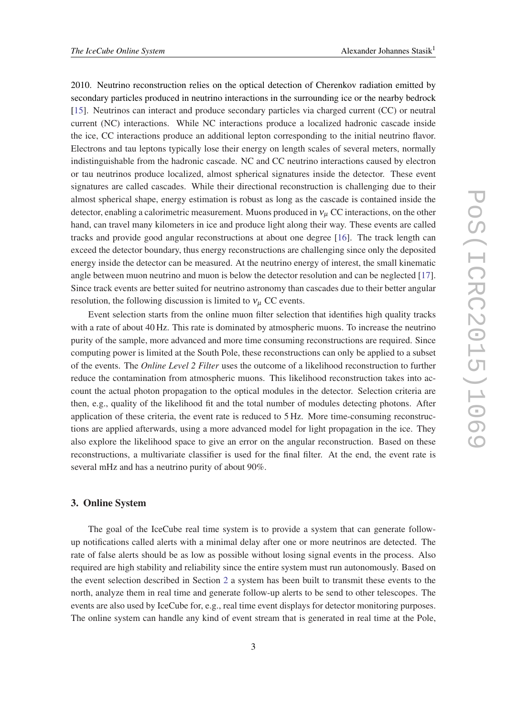<span id="page-2-0"></span>2010. Neutrino reconstruction relies on the optical detection of Cherenkov radiation emitted by secondary particles produced in neutrino interactions in the surrounding ice or the nearby bedrock [[15\]](#page-5-0). Neutrinos can interact and produce secondary particles via charged current (CC) or neutral current (NC) interactions. While NC interactions produce a localized hadronic cascade inside the ice, CC interactions produce an additional lepton corresponding to the initial neutrino flavor. Electrons and tau leptons typically lose their energy on length scales of several meters, normally indistinguishable from the hadronic cascade. NC and CC neutrino interactions caused by electron or tau neutrinos produce localized, almost spherical signatures inside the detector. These event signatures are called cascades. While their directional reconstruction is challenging due to their almost spherical shape, energy estimation is robust as long as the cascade is contained inside the detector, enabling a calorimetric measurement. Muons produced in  $v_\mu$  CC interactions, on the other hand, can travel many kilometers in ice and produce light along their way. These events are called tracks and provide good angular reconstructions at about one degree [\[16](#page-5-0)]. The track length can exceed the detector boundary, thus energy reconstructions are challenging since only the deposited energy inside the detector can be measured. At the neutrino energy of interest, the small kinematic angle between muon neutrino and muon is below the detector resolution and can be neglected [[17\]](#page-5-0). Since track events are better suited for neutrino astronomy than cascades due to their better angular resolution, the following discussion is limited to  $v_{\mu}$  CC events.

Event selection starts from the online muon filter selection that identifies high quality tracks with a rate of about 40 Hz. This rate is dominated by atmospheric muons. To increase the neutrino purity of the sample, more advanced and more time consuming reconstructions are required. Since computing power is limited at the South Pole, these reconstructions can only be applied to a subset of the events. The *Online Level 2 Filter* uses the outcome of a likelihood reconstruction to further reduce the contamination from atmospheric muons. This likelihood reconstruction takes into account the actual photon propagation to the optical modules in the detector. Selection criteria are then, e.g., quality of the likelihood fit and the total number of modules detecting photons. After application of these criteria, the event rate is reduced to 5 Hz. More time-consuming reconstructions are applied afterwards, using a more advanced model for light propagation in the ice. They also explore the likelihood space to give an error on the angular reconstruction. Based on these reconstructions, a multivariate classifier is used for the final filter. At the end, the event rate is several mHz and has a neutrino purity of about 90%.

#### 3. Online System

The goal of the IceCube real time system is to provide a system that can generate followup notifications called alerts with a minimal delay after one or more neutrinos are detected. The rate of false alerts should be as low as possible without losing signal events in the process. Also required are high stability and reliability since the entire system must run autonomously. Based on the event selection described in Section [2](#page-1-0) a system has been built to transmit these events to the north, analyze them in real time and generate follow-up alerts to be send to other telescopes. The events are also used by IceCube for, e.g., real time event displays for detector monitoring purposes. The online system can handle any kind of event stream that is generated in real time at the Pole,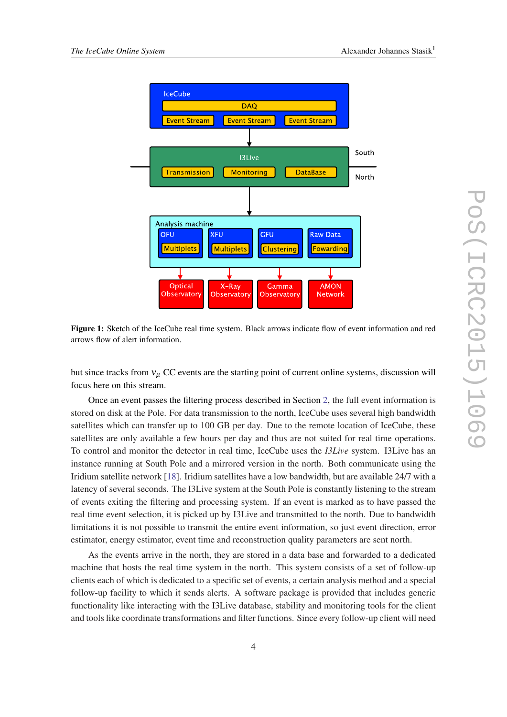<span id="page-3-0"></span>

Figure 1: Sketch of the IceCube real time system. Black arrows indicate flow of event information and red arrows flow of alert information.

but since tracks from  $v_{\mu}$  CC events are the starting point of current online systems, discussion will focus here on this stream.

Once an event passes the filtering process described in Section [2,](#page-1-0) the full event information is stored on disk at the Pole. For data transmission to the north, IceCube uses several high bandwidth satellites which can transfer up to 100 GB per day. Due to the remote location of IceCube, these satellites are only available a few hours per day and thus are not suited for real time operations. To control and monitor the detector in real time, IceCube uses the *I3Live* system. I3Live has an instance running at South Pole and a mirrored version in the north. Both communicate using the Iridium satellite network [\[18\]](#page-5-0). Iridium satellites have a low bandwidth, but are available 24/7 with a latency of several seconds. The I3Live system at the South Pole is constantly listening to the stream of events exiting the filtering and processing system. If an event is marked as to have passed the real time event selection, it is picked up by I3Live and transmitted to the north. Due to bandwidth limitations it is not possible to transmit the entire event information, so just event direction, error estimator, energy estimator, event time and reconstruction quality parameters are sent north.

As the events arrive in the north, they are stored in a data base and forwarded to a dedicated machine that hosts the real time system in the north. This system consists of a set of follow-up clients each of which is dedicated to a specific set of events, a certain analysis method and a special follow-up facility to which it sends alerts. A software package is provided that includes generic functionality like interacting with the I3Live database, stability and monitoring tools for the client and tools like coordinate transformations and filter functions. Since every follow-up client will need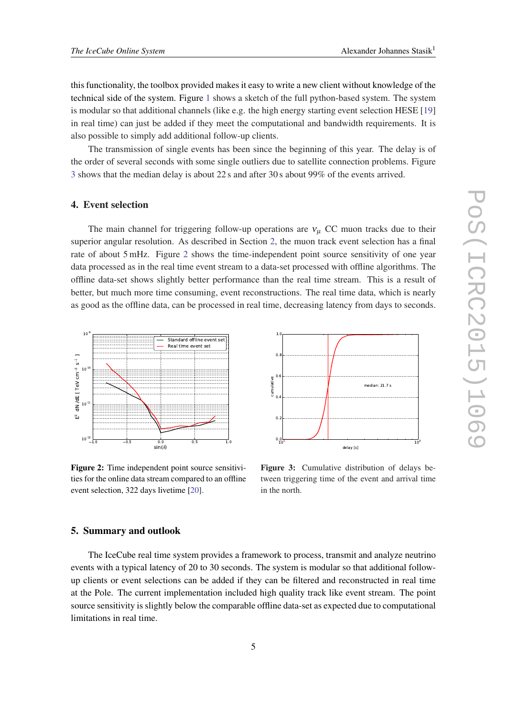<span id="page-4-0"></span>this functionality, the toolbox provided makes it easy to write a new client without knowledge of the technical side of the system. Figure [1](#page-3-0) shows a sketch of the full python-based system. The system is modular so that additional channels (like e.g. the high energy starting event selection HESE [\[19](#page-5-0)] in real time) can just be added if they meet the computational and bandwidth requirements. It is also possible to simply add additional follow-up clients.

The transmission of single events has been since the beginning of this year. The delay is of the order of several seconds with some single outliers due to satellite connection problems. Figure 3 shows that the median delay is about 22 s and after 30 s about 99% of the events arrived.

#### 4. Event selection

The main channel for triggering follow-up operations are  $v_\mu$  CC muon tracks due to their superior angular resolution. As described in Section [2,](#page-1-0) the muon track event selection has a final rate of about 5 mHz. Figure 2 shows the time-independent point source sensitivity of one year data processed as in the real time event stream to a data-set processed with offline algorithms. The offline data-set shows slightly better performance than the real time stream. This is a result of better, but much more time consuming, event reconstructions. The real time data, which is nearly as good as the offline data, can be processed in real time, decreasing latency from days to seconds.



Figure 2: Time independent point source sensitivities for the online data stream compared to an offline event selection, 322 days livetime [[20\]](#page-5-0).



Figure 3: Cumulative distribution of delays between triggering time of the event and arrival time in the north.

## 5. Summary and outlook

The IceCube real time system provides a framework to process, transmit and analyze neutrino events with a typical latency of 20 to 30 seconds. The system is modular so that additional followup clients or event selections can be added if they can be filtered and reconstructed in real time at the Pole. The current implementation included high quality track like event stream. The point source sensitivity is slightly below the comparable offline data-set as expected due to computational limitations in real time.